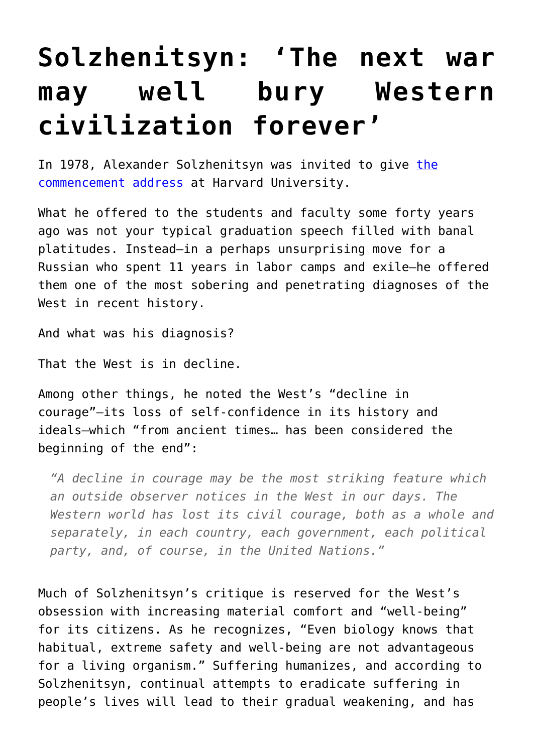## **[Solzhenitsyn: 'The next war](https://intellectualtakeout.org/2016/08/solzhenitsyn-the-next-war-may-well-bury-western-civilization-forever/) [may well bury Western](https://intellectualtakeout.org/2016/08/solzhenitsyn-the-next-war-may-well-bury-western-civilization-forever/) [civilization forever'](https://intellectualtakeout.org/2016/08/solzhenitsyn-the-next-war-may-well-bury-western-civilization-forever/)**

In 1978, Alexander Solzhenitsyn was invited to give [the](http://www.americanrhetoric.com/speeches/alexandersolzhenitsynharvard.htm) [commencement address](http://www.americanrhetoric.com/speeches/alexandersolzhenitsynharvard.htm) at Harvard University.

What he offered to the students and faculty some forty years ago was not your typical graduation speech filled with banal platitudes. Instead—in a perhaps unsurprising move for a Russian who spent 11 years in labor camps and exile—he offered them one of the most sobering and penetrating diagnoses of the West in recent history.

And what was his diagnosis?

That the West is in decline.

Among other things, he noted the West's "decline in courage"—its loss of self-confidence in its history and ideals—which "from ancient times… has been considered the beginning of the end":

*"A decline in courage may be the most striking feature which an outside observer notices in the West in our days. The Western world has lost its civil courage, both as a whole and separately, in each country, each government, each political party, and, of course, in the United Nations."*

Much of Solzhenitsyn's critique is reserved for the West's obsession with increasing material comfort and "well-being" for its citizens. As he recognizes, "Even biology knows that habitual, extreme safety and well-being are not advantageous for a living organism." Suffering humanizes, and according to Solzhenitsyn, continual attempts to eradicate suffering in people's lives will lead to their gradual weakening, and has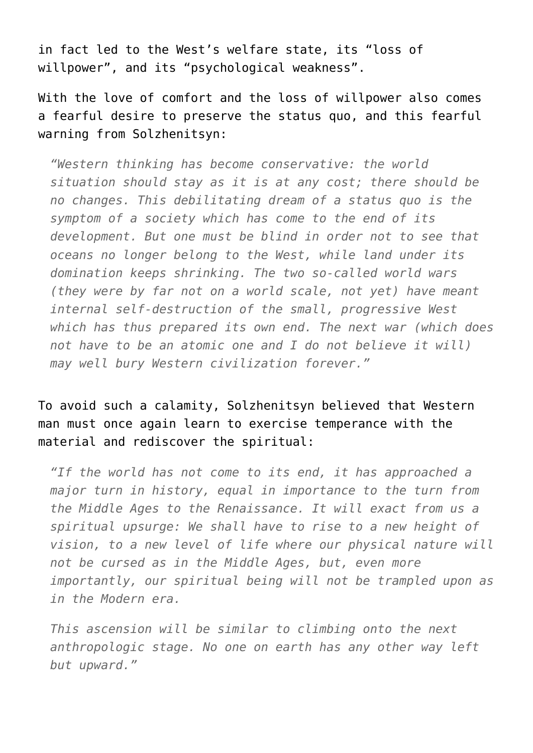in fact led to the West's welfare state, its "loss of willpower", and its "psychological weakness".

With the love of comfort and the loss of willpower also comes a fearful desire to preserve the status quo, and this fearful warning from Solzhenitsyn:

*"Western thinking has become conservative: the world situation should stay as it is at any cost; there should be no changes. This debilitating dream of a status quo is the symptom of a society which has come to the end of its development. But one must be blind in order not to see that oceans no longer belong to the West, while land under its domination keeps shrinking. The two so-called world wars (they were by far not on a world scale, not yet) have meant internal self-destruction of the small, progressive West which has thus prepared its own end. The next war (which does not have to be an atomic one and I do not believe it will) may well bury Western civilization forever."*

## To avoid such a calamity, Solzhenitsyn believed that Western man must once again learn to exercise temperance with the material and rediscover the spiritual:

*"If the world has not come to its end, it has approached a major turn in history, equal in importance to the turn from the Middle Ages to the Renaissance. It will exact from us a spiritual upsurge: We shall have to rise to a new height of vision, to a new level of life where our physical nature will not be cursed as in the Middle Ages, but, even more importantly, our spiritual being will not be trampled upon as in the Modern era.*

*This ascension will be similar to climbing onto the next anthropologic stage. No one on earth has any other way left but upward."*